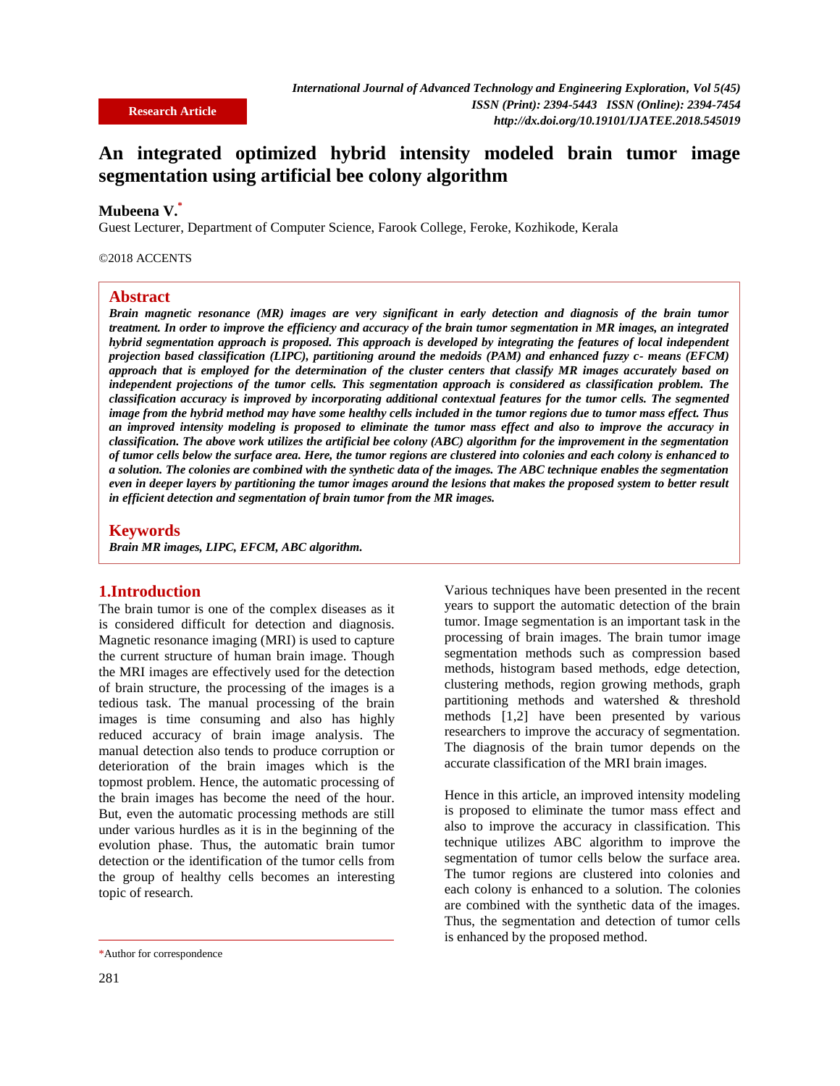# **An integrated optimized hybrid intensity modeled brain tumor image segmentation using artificial bee colony algorithm**

# **Mubeena V.\***

Guest Lecturer, Department of Computer Science, Farook College, Feroke, Kozhikode, Kerala

#### ©2018 ACCENTS

#### **Abstract**

*Brain magnetic resonance (MR) images are very significant in early detection and diagnosis of the brain tumor treatment. In order to improve the efficiency and accuracy of the brain tumor segmentation in MR images, an integrated hybrid segmentation approach is proposed. This approach is developed by integrating the features of local independent projection based classification (LIPC), partitioning around the medoids (PAM) and enhanced fuzzy c- means (EFCM) approach that is employed for the determination of the cluster centers that classify MR images accurately based on independent projections of the tumor cells. This segmentation approach is considered as classification problem. The classification accuracy is improved by incorporating additional contextual features for the tumor cells. The segmented image from the hybrid method may have some healthy cells included in the tumor regions due to tumor mass effect. Thus an improved intensity modeling is proposed to eliminate the tumor mass effect and also to improve the accuracy in classification. The above work utilizes the artificial bee colony (ABC) algorithm for the improvement in the segmentation of tumor cells below the surface area. Here, the tumor regions are clustered into colonies and each colony is enhanced to a solution. The colonies are combined with the synthetic data of the images. The ABC technique enables the segmentation even in deeper layers by partitioning the tumor images around the lesions that makes the proposed system to better result in efficient detection and segmentation of brain tumor from the MR images.* 

# **Keywords**

*Brain MR images, LIPC, EFCM, ABC algorithm.*

# **1.Introduction**

The brain tumor is one of the complex diseases as it is considered difficult for detection and diagnosis. Magnetic resonance imaging (MRI) is used to capture the current structure of human brain image. Though the MRI images are effectively used for the detection of brain structure, the processing of the images is a tedious task. The manual processing of the brain images is time consuming and also has highly reduced accuracy of brain image analysis. The manual detection also tends to produce corruption or deterioration of the brain images which is the topmost problem. Hence, the automatic processing of the brain images has become the need of the hour. But, even the automatic processing methods are still under various hurdles as it is in the beginning of the evolution phase. Thus, the automatic brain tumor detection or the identification of the tumor cells from the group of healthy cells becomes an interesting topic of research.

Various techniques have been presented in the recent years to support the automatic detection of the brain tumor. Image segmentation is an important task in the processing of brain images. The brain tumor image segmentation methods such as compression based methods, histogram based methods, edge detection, clustering methods, region growing methods, graph partitioning methods and watershed & threshold methods [1,2] have been presented by various researchers to improve the accuracy of segmentation. The diagnosis of the brain tumor depends on the accurate classification of the MRI brain images.

Hence in this article, an improved intensity modeling is proposed to eliminate the tumor mass effect and also to improve the accuracy in classification. This technique utilizes ABC algorithm to improve the segmentation of tumor cells below the surface area. The tumor regions are clustered into colonies and each colony is enhanced to a solution. The colonies are combined with the synthetic data of the images. Thus, the segmentation and detection of tumor cells is enhanced by the proposed method.

<sup>\*</sup>Author for correspondence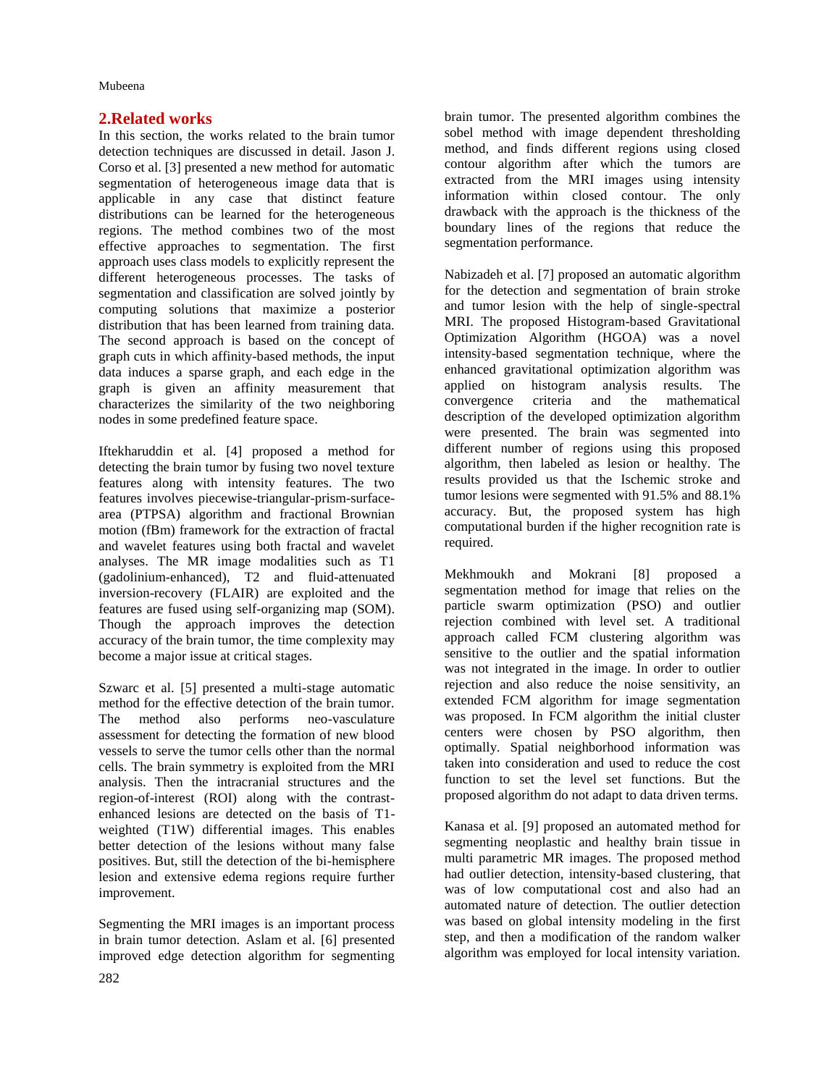# **2.Related works**

In this section, the works related to the brain tumor detection techniques are discussed in detail. Jason J. Corso et al. [3] presented a new method for automatic segmentation of heterogeneous image data that is applicable in any case that distinct feature distributions can be learned for the heterogeneous regions. The method combines two of the most effective approaches to segmentation. The first approach uses class models to explicitly represent the different heterogeneous processes. The tasks of segmentation and classification are solved jointly by computing solutions that maximize a posterior distribution that has been learned from training data. The second approach is based on the concept of graph cuts in which affinity-based methods, the input data induces a sparse graph, and each edge in the graph is given an affinity measurement that characterizes the similarity of the two neighboring nodes in some predefined feature space.

Iftekharuddin et al. [4] proposed a method for detecting the brain tumor by fusing two novel texture features along with intensity features. The two features involves piecewise-triangular-prism-surfacearea (PTPSA) algorithm and fractional Brownian motion (fBm) framework for the extraction of fractal and wavelet features using both fractal and wavelet analyses. The MR image modalities such as T1 (gadolinium-enhanced), T2 and fluid-attenuated inversion-recovery (FLAIR) are exploited and the features are fused using self-organizing map (SOM). Though the approach improves the detection accuracy of the brain tumor, the time complexity may become a major issue at critical stages.

Szwarc et al. [5] presented a multi-stage automatic method for the effective detection of the brain tumor. The method also performs neo-vasculature assessment for detecting the formation of new blood vessels to serve the tumor cells other than the normal cells. The brain symmetry is exploited from the MRI analysis. Then the intracranial structures and the region-of-interest (ROI) along with the contrastenhanced lesions are detected on the basis of T1 weighted (T1W) differential images. This enables better detection of the lesions without many false positives. But, still the detection of the bi-hemisphere lesion and extensive edema regions require further improvement.

Segmenting the MRI images is an important process in brain tumor detection. Aslam et al. [6] presented improved edge detection algorithm for segmenting brain tumor. The presented algorithm combines the sobel method with image dependent thresholding method, and finds different regions using closed contour algorithm after which the tumors are extracted from the MRI images using intensity information within closed contour. The only drawback with the approach is the thickness of the boundary lines of the regions that reduce the segmentation performance.

Nabizadeh et al. [7] proposed an automatic algorithm for the detection and segmentation of brain stroke and tumor lesion with the help of single-spectral MRI. The proposed Histogram-based Gravitational Optimization Algorithm (HGOA) was a novel intensity-based segmentation technique, where the enhanced gravitational optimization algorithm was applied on histogram analysis results. The convergence criteria and the mathematical description of the developed optimization algorithm were presented. The brain was segmented into different number of regions using this proposed algorithm, then labeled as lesion or healthy. The results provided us that the Ischemic stroke and tumor lesions were segmented with 91.5% and 88.1% accuracy. But, the proposed system has high computational burden if the higher recognition rate is required.

Mekhmoukh and Mokrani [8] proposed a segmentation method for image that relies on the particle swarm optimization (PSO) and outlier rejection combined with level set. A traditional approach called FCM clustering algorithm was sensitive to the outlier and the spatial information was not integrated in the image. In order to outlier rejection and also reduce the noise sensitivity, an extended FCM algorithm for image segmentation was proposed. In FCM algorithm the initial cluster centers were chosen by PSO algorithm, then optimally. Spatial neighborhood information was taken into consideration and used to reduce the cost function to set the level set functions. But the proposed algorithm do not adapt to data driven terms.

Kanasa et al. [9] proposed an automated method for segmenting neoplastic and healthy brain tissue in multi parametric MR images. The proposed method had outlier detection, intensity-based clustering, that was of low computational cost and also had an automated nature of detection. The outlier detection was based on global intensity modeling in the first step, and then a modification of the random walker algorithm was employed for local intensity variation.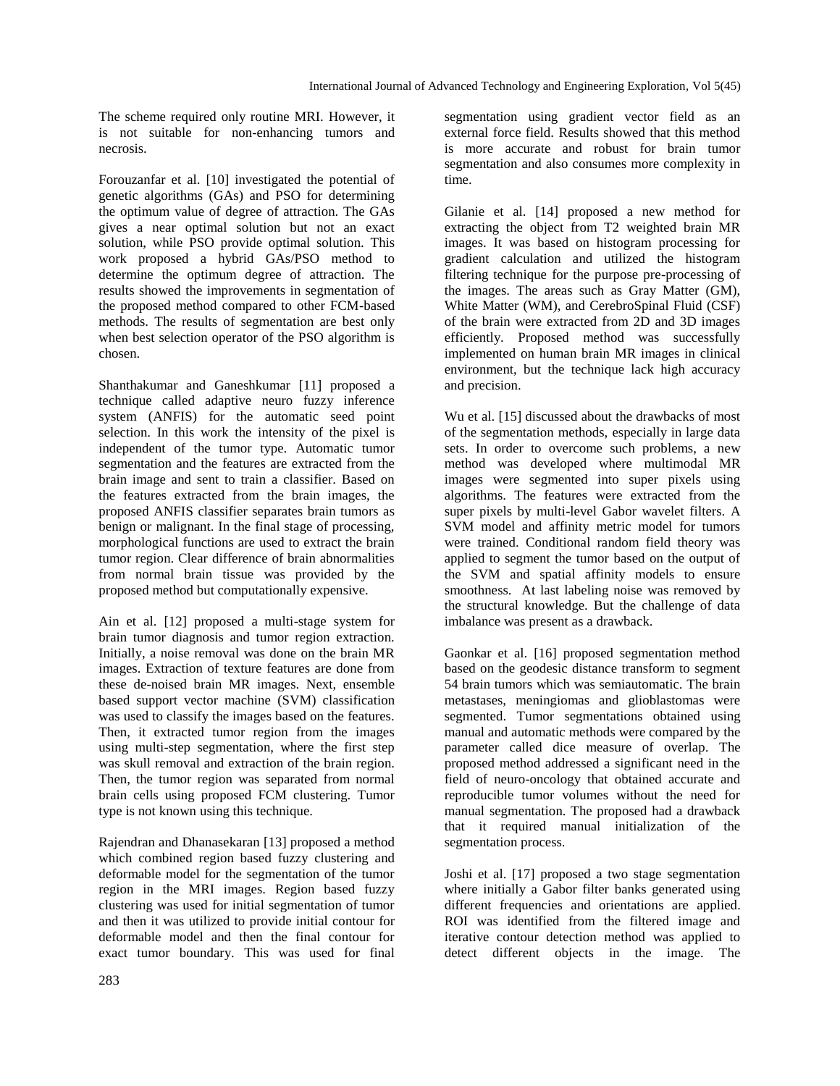The scheme required only routine MRI. However, it is not suitable for non-enhancing tumors and necrosis.

Forouzanfar et al. [10] investigated the potential of genetic algorithms (GAs) and PSO for determining the optimum value of degree of attraction. The GAs gives a near optimal solution but not an exact solution, while PSO provide optimal solution. This work proposed a hybrid GAs/PSO method to determine the optimum degree of attraction. The results showed the improvements in segmentation of the proposed method compared to other FCM-based methods. The results of segmentation are best only when best selection operator of the PSO algorithm is chosen.

Shanthakumar and Ganeshkumar [11] proposed a technique called adaptive neuro fuzzy inference system (ANFIS) for the automatic seed point selection. In this work the intensity of the pixel is independent of the tumor type. Automatic tumor segmentation and the features are extracted from the brain image and sent to train a classifier. Based on the features extracted from the brain images, the proposed ANFIS classifier separates brain tumors as benign or malignant. In the final stage of processing, morphological functions are used to extract the brain tumor region. Clear difference of brain abnormalities from normal brain tissue was provided by the proposed method but computationally expensive.

Ain et al. [12] proposed a multi-stage system for brain tumor diagnosis and tumor region extraction. Initially, a noise removal was done on the brain MR images. Extraction of texture features are done from these de-noised brain MR images. Next, ensemble based support vector machine (SVM) classification was used to classify the images based on the features. Then, it extracted tumor region from the images using multi-step segmentation, where the first step was skull removal and extraction of the brain region. Then, the tumor region was separated from normal brain cells using proposed FCM clustering. Tumor type is not known using this technique.

Rajendran and Dhanasekaran [13] proposed a method which combined region based fuzzy clustering and deformable model for the segmentation of the tumor region in the MRI images. Region based fuzzy clustering was used for initial segmentation of tumor and then it was utilized to provide initial contour for deformable model and then the final contour for exact tumor boundary. This was used for final

segmentation using gradient vector field as an external force field. Results showed that this method is more accurate and robust for brain tumor segmentation and also consumes more complexity in time.

Gilanie et al. [14] proposed a new method for extracting the object from T2 weighted brain MR images. It was based on histogram processing for gradient calculation and utilized the histogram filtering technique for the purpose pre-processing of the images. The areas such as Gray Matter (GM), White Matter (WM), and CerebroSpinal Fluid (CSF) of the brain were extracted from 2D and 3D images efficiently. Proposed method was successfully implemented on human brain MR images in clinical environment, but the technique lack high accuracy and precision.

Wu et al. [15] discussed about the drawbacks of most of the segmentation methods, especially in large data sets. In order to overcome such problems, a new method was developed where multimodal MR images were segmented into super pixels using algorithms. The features were extracted from the super pixels by multi-level Gabor wavelet filters. A SVM model and affinity metric model for tumors were trained. Conditional random field theory was applied to segment the tumor based on the output of the SVM and spatial affinity models to ensure smoothness. At last labeling noise was removed by the structural knowledge. But the challenge of data imbalance was present as a drawback.

Gaonkar et al. [16] proposed segmentation method based on the geodesic distance transform to segment 54 brain tumors which was semiautomatic. The brain metastases, meningiomas and glioblastomas were segmented. Tumor segmentations obtained using manual and automatic methods were compared by the parameter called dice measure of overlap. The proposed method addressed a significant need in the field of neuro-oncology that obtained accurate and reproducible tumor volumes without the need for manual segmentation. The proposed had a drawback that it required manual initialization of the segmentation process.

Joshi et al. [17] proposed a two stage segmentation where initially a Gabor filter banks generated using different frequencies and orientations are applied. ROI was identified from the filtered image and iterative contour detection method was applied to detect different objects in the image. The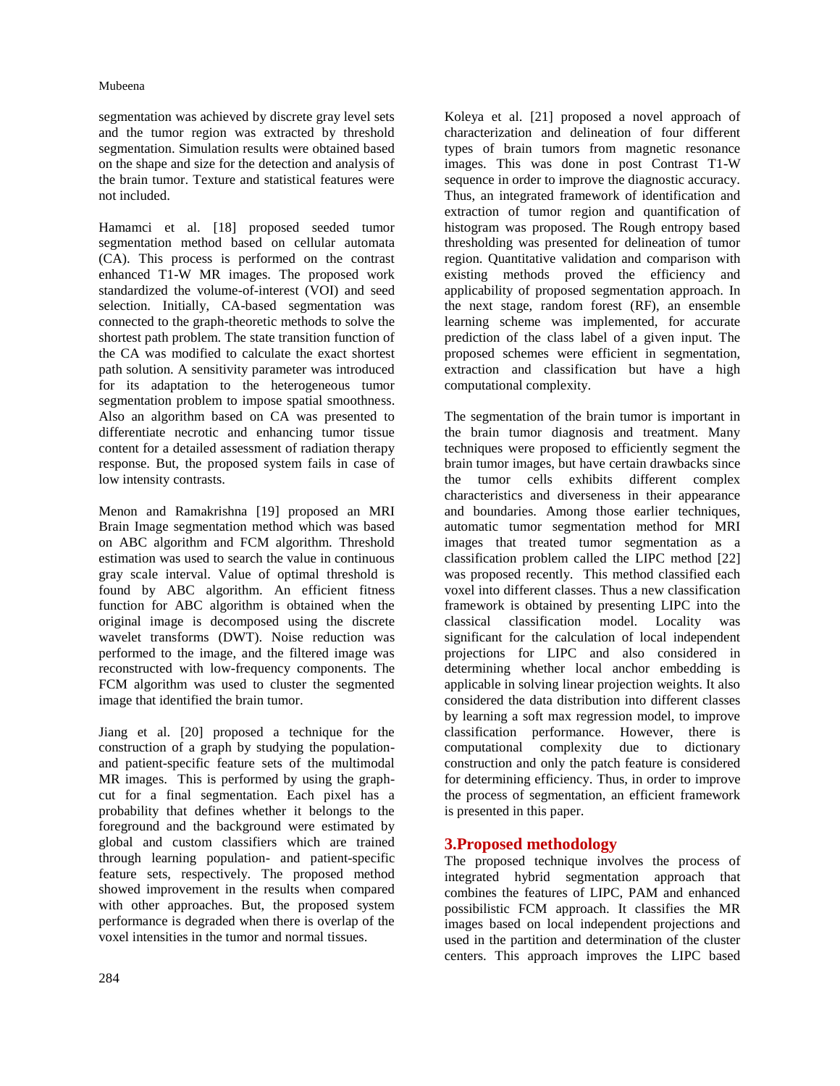segmentation was achieved by discrete gray level sets and the tumor region was extracted by threshold segmentation. Simulation results were obtained based on the shape and size for the detection and analysis of the brain tumor. Texture and statistical features were not included.

Hamamci et al. [18] proposed seeded tumor segmentation method based on cellular automata (CA). This process is performed on the contrast enhanced T1-W MR images. The proposed work standardized the volume-of-interest (VOI) and seed selection. Initially, CA-based segmentation was connected to the graph-theoretic methods to solve the shortest path problem. The state transition function of the CA was modified to calculate the exact shortest path solution. A sensitivity parameter was introduced for its adaptation to the heterogeneous tumor segmentation problem to impose spatial smoothness. Also an algorithm based on CA was presented to differentiate necrotic and enhancing tumor tissue content for a detailed assessment of radiation therapy response. But, the proposed system fails in case of low intensity contrasts.

Menon and Ramakrishna [19] proposed an MRI Brain Image segmentation method which was based on ABC algorithm and FCM algorithm. Threshold estimation was used to search the value in continuous gray scale interval. Value of optimal threshold is found by ABC algorithm. An efficient fitness function for ABC algorithm is obtained when the original image is decomposed using the discrete wavelet transforms (DWT). Noise reduction was performed to the image, and the filtered image was reconstructed with low-frequency components. The FCM algorithm was used to cluster the segmented image that identified the brain tumor.

Jiang et al. [20] proposed a technique for the construction of a graph by studying the populationand patient-specific feature sets of the multimodal MR images. This is performed by using the graphcut for a final segmentation. Each pixel has a probability that defines whether it belongs to the foreground and the background were estimated by global and custom classifiers which are trained through learning population- and patient-specific feature sets, respectively. The proposed method showed improvement in the results when compared with other approaches. But, the proposed system performance is degraded when there is overlap of the voxel intensities in the tumor and normal tissues.

Koleya et al. [21] proposed a novel approach of characterization and delineation of four different types of brain tumors from magnetic resonance images. This was done in post Contrast T1-W sequence in order to improve the diagnostic accuracy. Thus, an integrated framework of identification and extraction of tumor region and quantification of histogram was proposed. The Rough entropy based thresholding was presented for delineation of tumor region. Quantitative validation and comparison with existing methods proved the efficiency and applicability of proposed segmentation approach. In the next stage, random forest (RF), an ensemble learning scheme was implemented, for accurate prediction of the class label of a given input. The proposed schemes were efficient in segmentation, extraction and classification but have a high computational complexity.

The segmentation of the brain tumor is important in the brain tumor diagnosis and treatment. Many techniques were proposed to efficiently segment the brain tumor images, but have certain drawbacks since the tumor cells exhibits different complex characteristics and diverseness in their appearance and boundaries. Among those earlier techniques, automatic tumor segmentation method for MRI images that treated tumor segmentation as a classification problem called the LIPC method [22] was proposed recently. This method classified each voxel into different classes. Thus a new classification framework is obtained by presenting LIPC into the classical classification model. Locality was significant for the calculation of local independent projections for LIPC and also considered in determining whether local anchor embedding is applicable in solving linear projection weights. It also considered the data distribution into different classes by learning a soft max regression model, to improve classification performance. However, there is computational complexity due to dictionary construction and only the patch feature is considered for determining efficiency. Thus, in order to improve the process of segmentation, an efficient framework is presented in this paper.

# **3.Proposed methodology**

The proposed technique involves the process of integrated hybrid segmentation approach that combines the features of LIPC, PAM and enhanced possibilistic FCM approach. It classifies the MR images based on local independent projections and used in the partition and determination of the cluster centers. This approach improves the LIPC based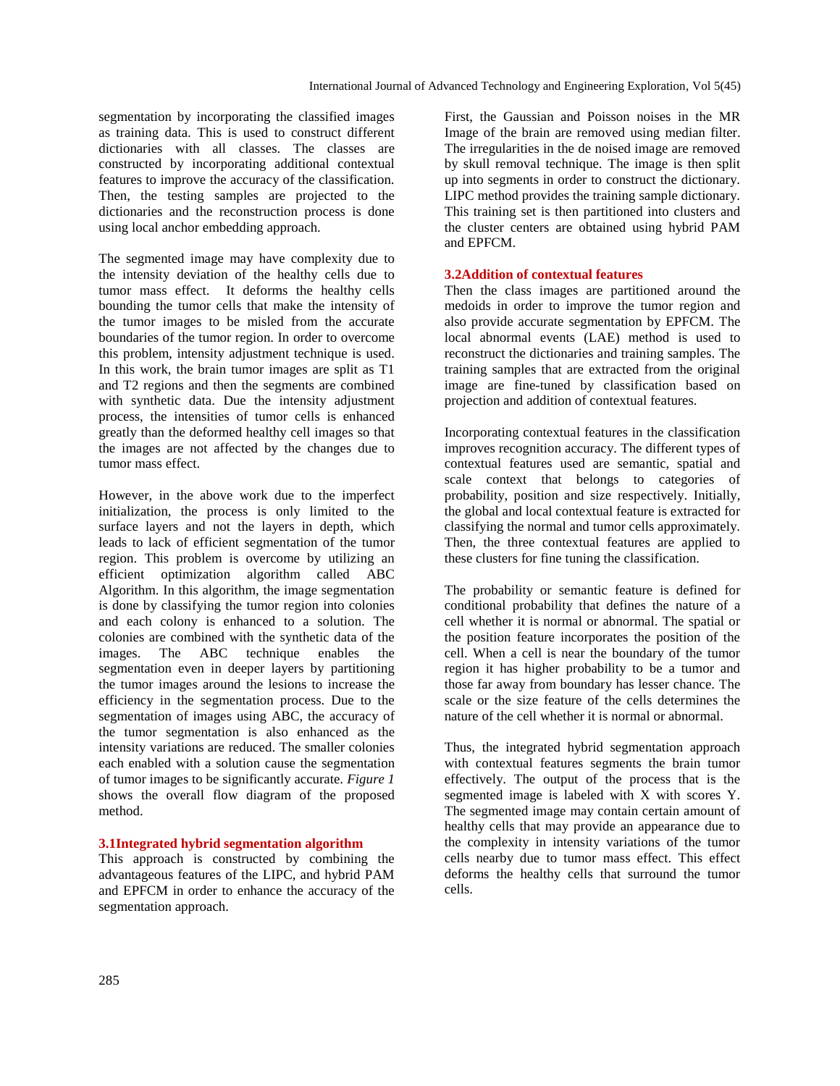segmentation by incorporating the classified images as training data. This is used to construct different dictionaries with all classes. The classes are constructed by incorporating additional contextual features to improve the accuracy of the classification. Then, the testing samples are projected to the dictionaries and the reconstruction process is done using local anchor embedding approach.

The segmented image may have complexity due to the intensity deviation of the healthy cells due to tumor mass effect. It deforms the healthy cells bounding the tumor cells that make the intensity of the tumor images to be misled from the accurate boundaries of the tumor region. In order to overcome this problem, intensity adjustment technique is used. In this work, the brain tumor images are split as T1 and T2 regions and then the segments are combined with synthetic data. Due the intensity adjustment process, the intensities of tumor cells is enhanced greatly than the deformed healthy cell images so that the images are not affected by the changes due to tumor mass effect.

However, in the above work due to the imperfect initialization, the process is only limited to the surface layers and not the layers in depth, which leads to lack of efficient segmentation of the tumor region. This problem is overcome by utilizing an efficient optimization algorithm called ABC Algorithm. In this algorithm, the image segmentation is done by classifying the tumor region into colonies and each colony is enhanced to a solution. The colonies are combined with the synthetic data of the images. The ABC technique enables the segmentation even in deeper layers by partitioning the tumor images around the lesions to increase the efficiency in the segmentation process. Due to the segmentation of images using ABC, the accuracy of the tumor segmentation is also enhanced as the intensity variations are reduced. The smaller colonies each enabled with a solution cause the segmentation of tumor images to be significantly accurate. *Figure 1* shows the overall flow diagram of the proposed method.

# **3.1Integrated hybrid segmentation algorithm**

This approach is constructed by combining the advantageous features of the LIPC, and hybrid PAM and EPFCM in order to enhance the accuracy of the segmentation approach.

First, the Gaussian and Poisson noises in the MR Image of the brain are removed using median filter. The irregularities in the de noised image are removed by skull removal technique. The image is then split up into segments in order to construct the dictionary. LIPC method provides the training sample dictionary. This training set is then partitioned into clusters and the cluster centers are obtained using hybrid PAM and EPFCM.

#### **3.2Addition of contextual features**

Then the class images are partitioned around the medoids in order to improve the tumor region and also provide accurate segmentation by EPFCM. The local abnormal events (LAE) method is used to reconstruct the dictionaries and training samples. The training samples that are extracted from the original image are fine-tuned by classification based on projection and addition of contextual features.

Incorporating contextual features in the classification improves recognition accuracy. The different types of contextual features used are semantic, spatial and scale context that belongs to categories of probability, position and size respectively. Initially, the global and local contextual feature is extracted for classifying the normal and tumor cells approximately. Then, the three contextual features are applied to these clusters for fine tuning the classification.

The probability or semantic feature is defined for conditional probability that defines the nature of a cell whether it is normal or abnormal. The spatial or the position feature incorporates the position of the cell. When a cell is near the boundary of the tumor region it has higher probability to be a tumor and those far away from boundary has lesser chance. The scale or the size feature of the cells determines the nature of the cell whether it is normal or abnormal.

Thus, the integrated hybrid segmentation approach with contextual features segments the brain tumor effectively. The output of the process that is the segmented image is labeled with X with scores Y. The segmented image may contain certain amount of healthy cells that may provide an appearance due to the complexity in intensity variations of the tumor cells nearby due to tumor mass effect. This effect deforms the healthy cells that surround the tumor cells.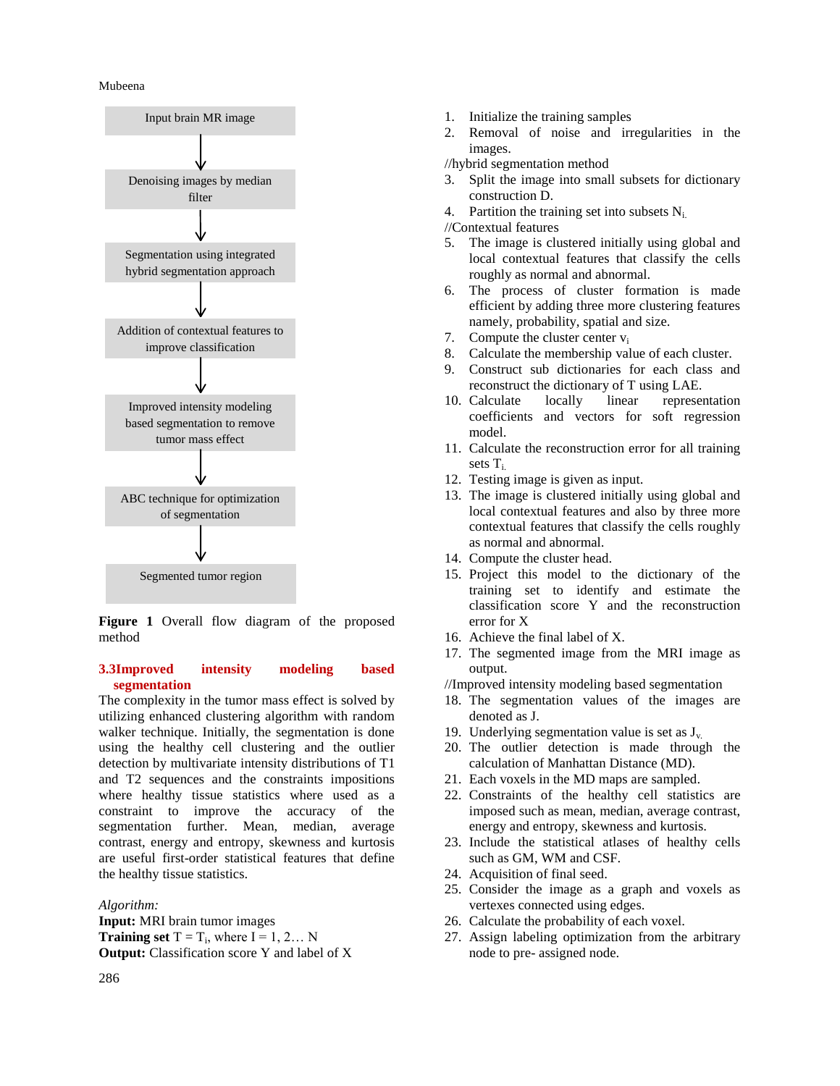

**Figure 1** Overall flow diagram of the proposed method

# **3.3Improved intensity modeling based segmentation**

The complexity in the tumor mass effect is solved by utilizing enhanced clustering algorithm with random walker technique. Initially, the segmentation is done using the healthy cell clustering and the outlier detection by multivariate intensity distributions of T1 and T2 sequences and the constraints impositions where healthy tissue statistics where used as a constraint to improve the accuracy of the segmentation further. Mean, median, average contrast, energy and entropy, skewness and kurtosis are useful first-order statistical features that define the healthy tissue statistics.

*Algorithm:*

**Input:** MRI brain tumor images **Training set**  $T = T_i$ , where  $I = 1, 2...$  N **Output:** Classification score Y and label of X

- 1. Initialize the training samples
- 2. Removal of noise and irregularities in the images.

//hybrid segmentation method

- 3. Split the image into small subsets for dictionary construction D.
- 4. Partition the training set into subsets  $N_i$ .

//Contextual features

- 5. The image is clustered initially using global and local contextual features that classify the cells roughly as normal and abnormal.
- 6. The process of cluster formation is made efficient by adding three more clustering features namely, probability, spatial and size.
- 7. Compute the cluster center  $v_i$
- 8. Calculate the membership value of each cluster.
- 9. Construct sub dictionaries for each class and reconstruct the dictionary of T using LAE.
- 10. Calculate locally linear representation coefficients and vectors for soft regression model.
- 11. Calculate the reconstruction error for all training sets T<sub>i</sub>
- 12. Testing image is given as input.
- 13. The image is clustered initially using global and local contextual features and also by three more contextual features that classify the cells roughly as normal and abnormal.
- 14. Compute the cluster head.
- 15. Project this model to the dictionary of the training set to identify and estimate the classification score Y and the reconstruction error for X
- 16. Achieve the final label of X.
- 17. The segmented image from the MRI image as output.

//Improved intensity modeling based segmentation

- 18. The segmentation values of the images are denoted as J.
- 19. Underlying segmentation value is set as  $J_{v}$ .
- 20. The outlier detection is made through the calculation of Manhattan Distance (MD).
- 21. Each voxels in the MD maps are sampled.
- 22. Constraints of the healthy cell statistics are imposed such as mean, median, average contrast, energy and entropy, skewness and kurtosis.
- 23. Include the statistical atlases of healthy cells such as GM, WM and CSF.
- 24. Acquisition of final seed.
- 25. Consider the image as a graph and voxels as vertexes connected using edges.
- 26. Calculate the probability of each voxel.
- 27. Assign labeling optimization from the arbitrary node to pre- assigned node.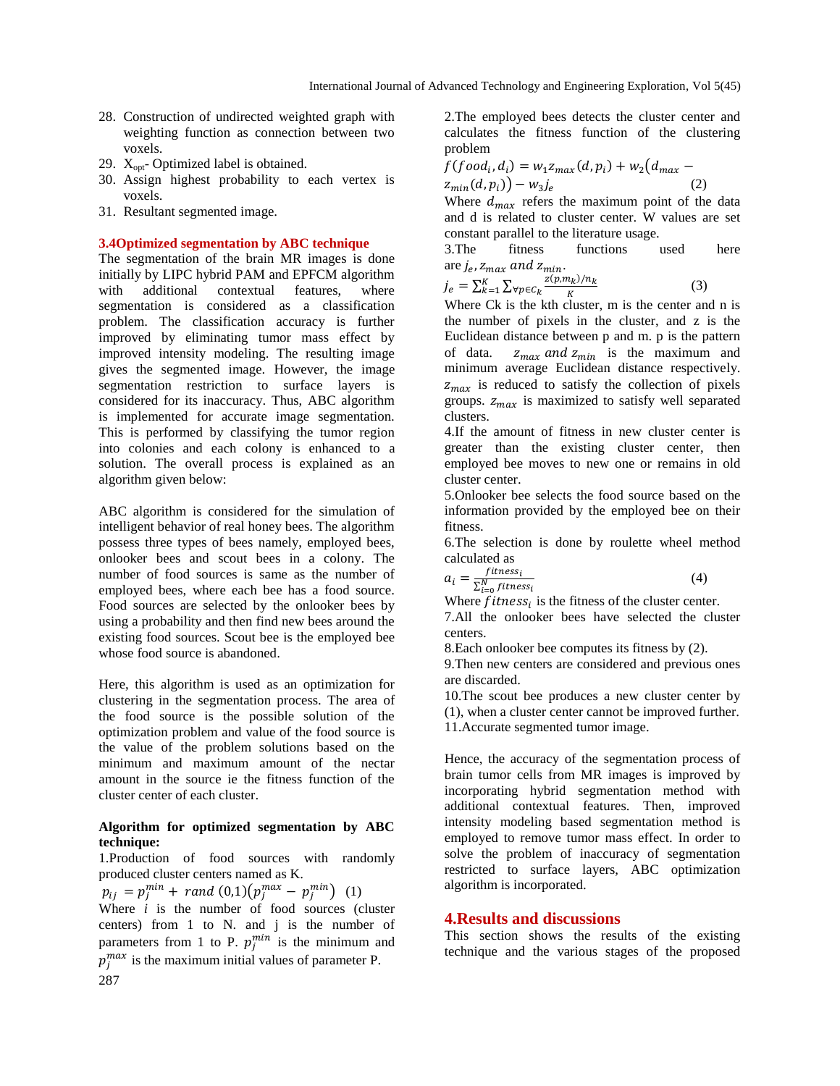- 28. Construction of undirected weighted graph with weighting function as connection between two voxels.
- 29.  $X_{opt}$  Optimized label is obtained.
- 30. Assign highest probability to each vertex is voxels.
- 31. Resultant segmented image.

#### **3.4Optimized segmentation by ABC technique**

The segmentation of the brain MR images is done initially by LIPC hybrid PAM and EPFCM algorithm with additional contextual features, where segmentation is considered as a classification problem. The classification accuracy is further improved by eliminating tumor mass effect by improved intensity modeling. The resulting image gives the segmented image. However, the image segmentation restriction to surface layers is considered for its inaccuracy. Thus, ABC algorithm is implemented for accurate image segmentation. This is performed by classifying the tumor region into colonies and each colony is enhanced to a solution. The overall process is explained as an algorithm given below:

ABC algorithm is considered for the simulation of intelligent behavior of real honey bees. The algorithm possess three types of bees namely, employed bees, onlooker bees and scout bees in a colony. The number of food sources is same as the number of employed bees, where each bee has a food source. Food sources are selected by the onlooker bees by using a probability and then find new bees around the existing food sources. Scout bee is the employed bee whose food source is abandoned.

Here, this algorithm is used as an optimization for clustering in the segmentation process. The area of the food source is the possible solution of the optimization problem and value of the food source is the value of the problem solutions based on the minimum and maximum amount of the nectar amount in the source ie the fitness function of the cluster center of each cluster.

# **Algorithm for optimized segmentation by ABC technique:**

1.Production of food sources with randomly produced cluster centers named as K.

287  $p_{ii} = p_i^{min} + rand(0,1)(p_i^{max} - p_i^{min})$  (1) Where  $i$  is the number of food sources (cluster centers) from 1 to N. and j is the number of parameters from 1 to P.  $p_i^{min}$  is the minimum and  $p_i^{max}$  is the maximum initial values of parameter P.

2.The employed bees detects the cluster center and calculates the fitness function of the clustering problem

$$
f(foodi, di) = w1zmax(d, pi) + w2(dmax - zmin(d, pi)) - w3je
$$
\n(2)

Where  $d_{max}$  refers the maximum point of the data and d is related to cluster center. W values are set constant parallel to the literature usage.

3.The fitness functions used here are  $j_e$ ,  $z_{max}$  and  $z_{min}$ .

$$
j_e = \sum_{k=1}^{K} \sum_{\forall p \in C_k} \frac{z(p, m_k)/n_k}{K}
$$
 (3)

Where  $C_k$  is the kth cluster, m is the center and n is the number of pixels in the cluster, and z is the Euclidean distance between p and m. p is the pattern of data.  $z_{max}$  and  $z_{min}$  is the maximum and minimum average Euclidean distance respectively.  $z_{max}$  is reduced to satisfy the collection of pixels groups.  $z_{max}$  is maximized to satisfy well separated clusters.

4.If the amount of fitness in new cluster center is greater than the existing cluster center, then employed bee moves to new one or remains in old cluster center.

5.Onlooker bee selects the food source based on the information provided by the employed bee on their fitness.

6.The selection is done by roulette wheel method calculated as

$$
a_i = \frac{fitness_i}{\sum_{i=0}^{N} fitness_i}
$$
 (4)

Where  $fitness_i$  is the fitness of the cluster center.

7.All the onlooker bees have selected the cluster centers.

8.Each onlooker bee computes its fitness by (2).

9.Then new centers are considered and previous ones are discarded.

10.The scout bee produces a new cluster center by (1), when a cluster center cannot be improved further. 11.Accurate segmented tumor image.

Hence, the accuracy of the segmentation process of brain tumor cells from MR images is improved by incorporating hybrid segmentation method with additional contextual features. Then, improved intensity modeling based segmentation method is employed to remove tumor mass effect. In order to solve the problem of inaccuracy of segmentation restricted to surface layers, ABC optimization algorithm is incorporated.

# **4.Results and discussions**

This section shows the results of the existing technique and the various stages of the proposed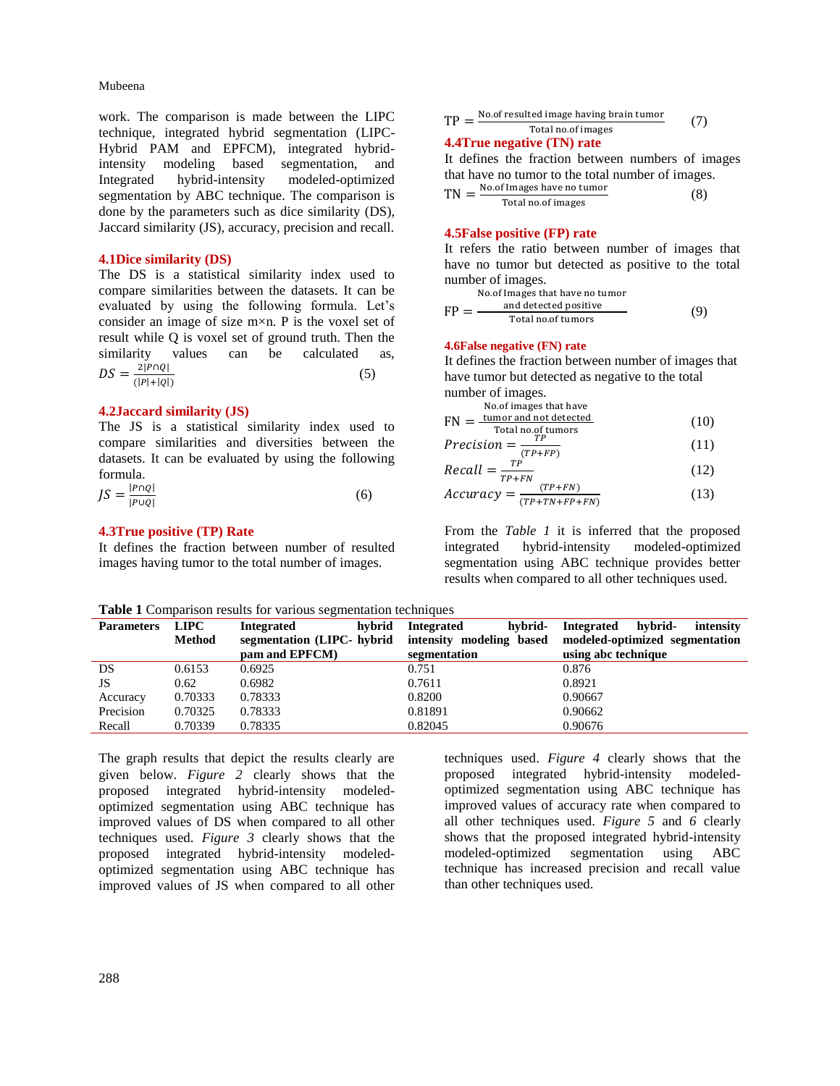work. The comparison is made between the LIPC technique, integrated hybrid segmentation (LIPC-Hybrid PAM and EPFCM), integrated hybridintensity modeling based segmentation, and Integrated hybrid-intensity modeled-optimized segmentation by ABC technique. The comparison is done by the parameters such as dice similarity (DS), Jaccard similarity (JS), accuracy, precision and recall.

#### **4.1Dice similarity (DS)**

The DS is a statistical similarity index used to compare similarities between the datasets. It can be evaluated by using the following formula. Let's consider an image of size  $m \times n$ . P is the voxel set of result while Q is voxel set of ground truth. Then the similarity values can be calculated as,  $DS = \frac{2|P\cap Q|}{\sqrt{2|P|+|Q|}}$  $(|P|+|Q|)$ (5)

#### **4.2Jaccard similarity (JS)**

The JS is a statistical similarity index used to compare similarities and diversities between the datasets. It can be evaluated by using the following formula.

| $JS = \frac{ P \cap Q }{ P \cup Q }$ |  | (6) |
|--------------------------------------|--|-----|
|                                      |  |     |

#### **4.3True positive (TP) Rate**

It defines the fraction between number of resulted images having tumor to the total number of images.

| TP | No of resulted image having brain tumor | (7) |
|----|-----------------------------------------|-----|
|    | Total no of images                      |     |

#### **4.4True negative (TN) rate**

It defines the fraction between numbers of images that have no tumor to the total number of images.

$$
TN = \frac{No. of Images have no tumorTotal no. of images}
$$
 (8)

# **4.5False positive (FP) rate**

It refers the ratio between number of images that have no tumor but detected as positive to the total number of images.

No.of Images that have no tumor  
\n
$$
FP = \frac{\text{and detected positive}}{\text{Total no. of tumors}} \tag{9}
$$

#### **4.6False negative (FN) rate**

It defines the fraction between number of images that have tumor but detected as negative to the total number of images.

No.of images that have  
\n
$$
FN = \frac{tumor \ and \ not \ detected}{Total \ no. of \ tumor}
$$
\n(10)

$$
Precision = \frac{TP}{(TP + FP)}
$$
 (11)

$$
Recall = \frac{TP}{TP + FN} \tag{12}
$$

$$
Accuracy = \frac{(TP+FN)}{(TP+TN+FP+FN)}
$$
 (13)

From the *Table 1* it is inferred that the proposed integrated hybrid-intensity modeled-optimized segmentation using ABC technique provides better results when compared to all other techniques used.

|  |  | Table 1 Comparison results for various segmentation techniques |  |
|--|--|----------------------------------------------------------------|--|

| <b>LIPC</b>   | <b>Integrated</b> | <b>Integrated</b> | hvbrid-<br><b>Integrated</b><br>intensity                                |  |  |  |
|---------------|-------------------|-------------------|--------------------------------------------------------------------------|--|--|--|
| <b>Method</b> |                   |                   | modeled-optimized segmentation                                           |  |  |  |
|               | pam and EPFCM)    | segmentation      | using abc technique                                                      |  |  |  |
| 0.6153        | 0.6925            | 0.751             | 0.876                                                                    |  |  |  |
| 0.62          | 0.6982            | 0.7611            | 0.8921                                                                   |  |  |  |
| 0.70333       | 0.78333           | 0.8200            | 0.90667                                                                  |  |  |  |
| 0.70325       | 0.78333           | 0.81891           | 0.90662                                                                  |  |  |  |
| 0.70339       | 0.78335           | 0.82045           | 0.90676                                                                  |  |  |  |
|               |                   |                   | hvbrid-<br>hybrid<br>segmentation (LIPC- hybrid intensity modeling based |  |  |  |

The graph results that depict the results clearly are given below. *Figure 2* clearly shows that the proposed integrated hybrid-intensity modeledoptimized segmentation using ABC technique has improved values of DS when compared to all other techniques used. *Figure 3* clearly shows that the proposed integrated hybrid-intensity modeledoptimized segmentation using ABC technique has improved values of JS when compared to all other

techniques used. *Figure 4* clearly shows that the proposed integrated hybrid-intensity modeledoptimized segmentation using ABC technique has improved values of accuracy rate when compared to all other techniques used. *Figure 5* and *6* clearly shows that the proposed integrated hybrid-intensity modeled-optimized segmentation using ABC technique has increased precision and recall value than other techniques used.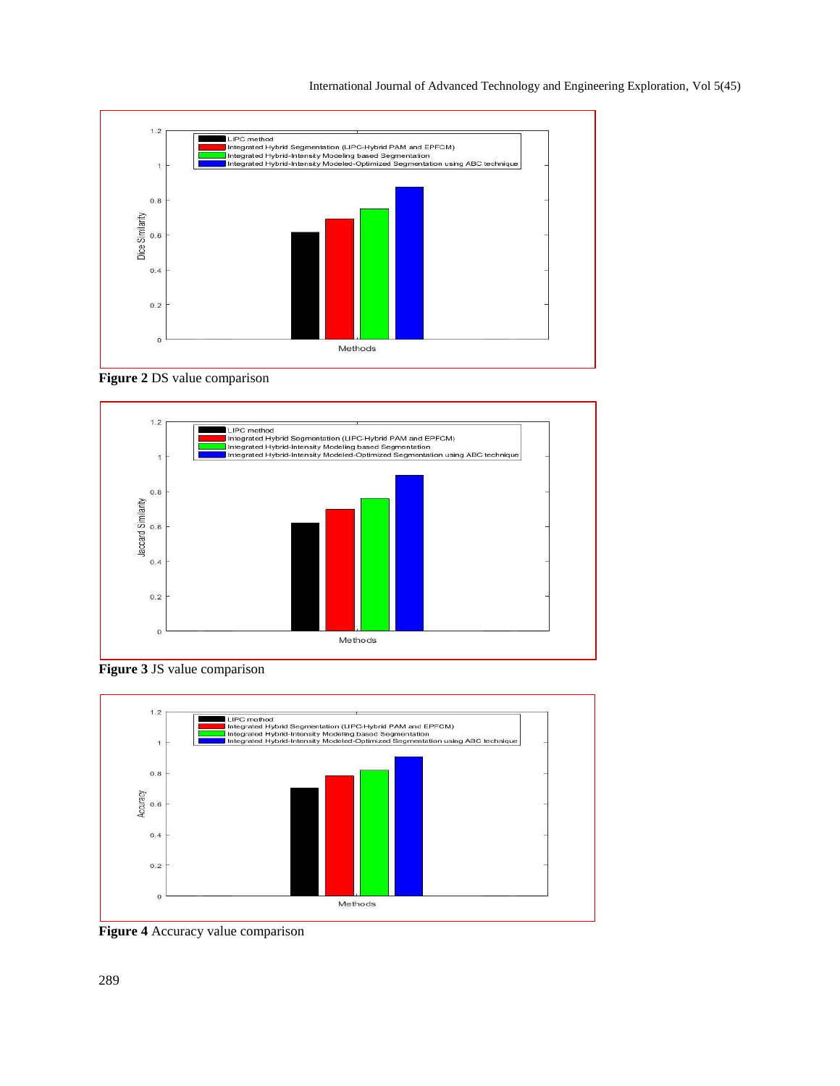

**Figure 2** DS value comparison



**Figure 3** JS value comparison



**Figure 4** Accuracy value comparison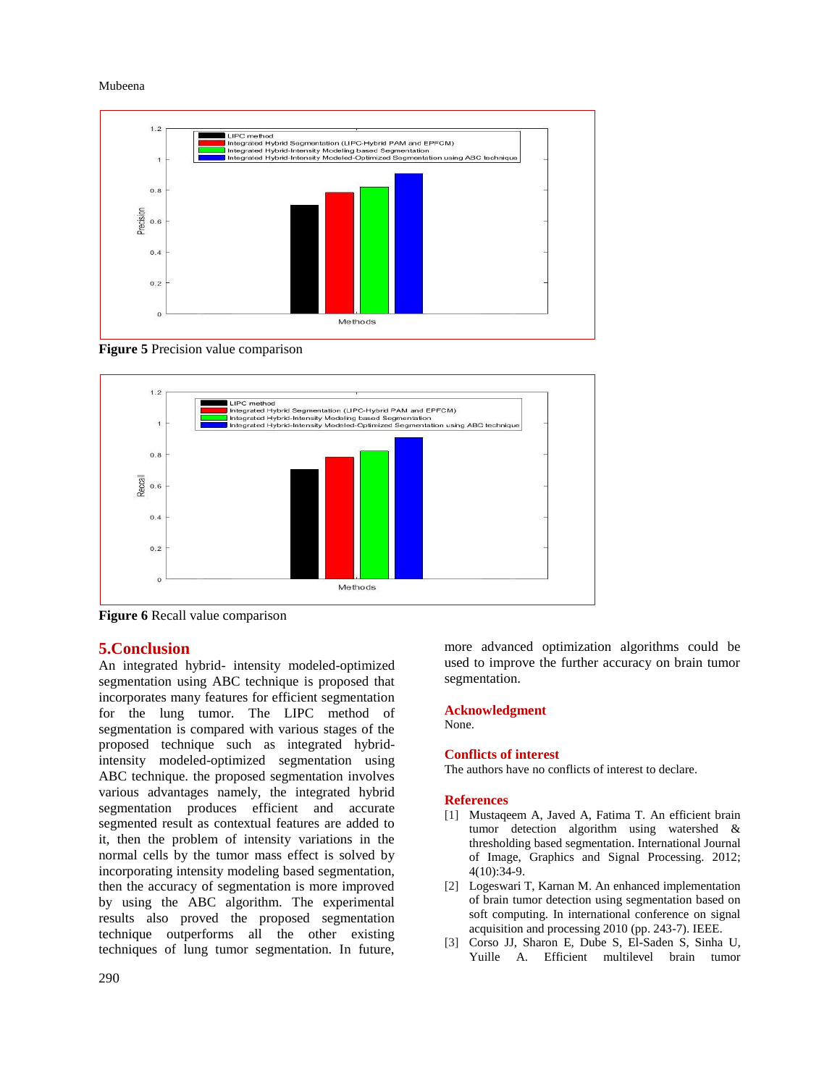

**Figure 5** Precision value comparison



**Figure 6** Recall value comparison

# **5.Conclusion**

An integrated hybrid- intensity modeled-optimized segmentation using ABC technique is proposed that incorporates many features for efficient segmentation for the lung tumor. The LIPC method of segmentation is compared with various stages of the proposed technique such as integrated hybridintensity modeled-optimized segmentation using ABC technique. the proposed segmentation involves various advantages namely, the integrated hybrid segmentation produces efficient and accurate segmented result as contextual features are added to it, then the problem of intensity variations in the normal cells by the tumor mass effect is solved by incorporating intensity modeling based segmentation, then the accuracy of segmentation is more improved by using the ABC algorithm. The experimental results also proved the proposed segmentation technique outperforms all the other existing techniques of lung tumor segmentation. In future, more advanced optimization algorithms could be used to improve the further accuracy on brain tumor segmentation.

# **Acknowledgment**

None.

# **Conflicts of interest**

The authors have no conflicts of interest to declare.

# **References**

- [1] Mustageem A, Javed A, Fatima T. An efficient brain tumor detection algorithm using watershed & thresholding based segmentation. International Journal of Image, Graphics and Signal Processing. 2012; 4(10):34-9.
- [2] Logeswari T, Karnan M. An enhanced implementation of brain tumor detection using segmentation based on soft computing. In international conference on signal acquisition and processing 2010 (pp. 243-7). IEEE.
- [3] Corso JJ, Sharon E, Dube S, El-Saden S, Sinha U, Yuille A. Efficient multilevel brain tumor